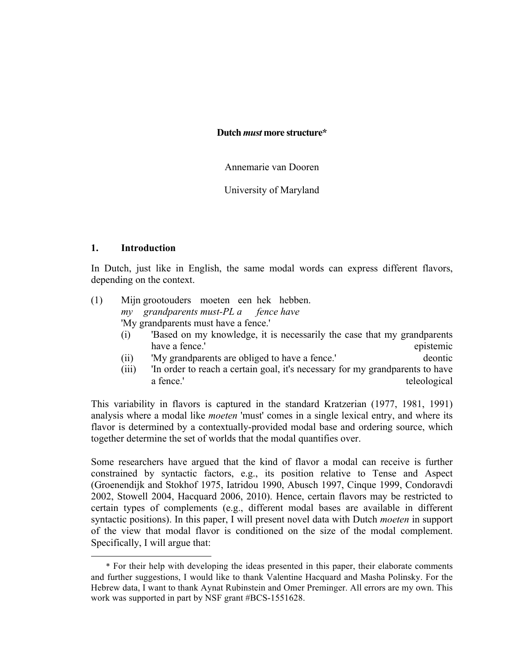**Dutch** *must* **more structure\***

Annemarie van Dooren

University of Maryland

### **1. Introduction**

 $\overline{a}$ 

In Dutch, just like in English, the same modal words can express different flavors, depending on the context.

# (1) Mijn grootouders moeten een hek hebben. *my grandparents must-PL a fence have* 'My grandparents must have a fence.'

- (i) 'Based on my knowledge, it is necessarily the case that my grandparents have a fence.' epistemic state of the state of the state of the state of the state of the state of the state of the state of the state of the state of the state of the state of the state of the state of the state of the st
- (ii) 'My grandparents are obliged to have a fence.' deontic
- (iii) 'In order to reach a certain goal, it's necessary for my grandparents to have a fence.' teleological teleological

This variability in flavors is captured in the standard Kratzerian (1977, 1981, 1991) analysis where a modal like *moeten* 'must' comes in a single lexical entry, and where its flavor is determined by a contextually-provided modal base and ordering source, which together determine the set of worlds that the modal quantifies over.

Some researchers have argued that the kind of flavor a modal can receive is further constrained by syntactic factors, e.g., its position relative to Tense and Aspect (Groenendijk and Stokhof 1975, Iatridou 1990, Abusch 1997, Cinque 1999, Condoravdi 2002, Stowell 2004, Hacquard 2006, 2010). Hence, certain flavors may be restricted to certain types of complements (e.g., different modal bases are available in different syntactic positions). In this paper, I will present novel data with Dutch *moeten* in support of the view that modal flavor is conditioned on the size of the modal complement. Specifically, I will argue that:

<sup>\*</sup> For their help with developing the ideas presented in this paper, their elaborate comments and further suggestions, I would like to thank Valentine Hacquard and Masha Polinsky. For the Hebrew data, I want to thank Aynat Rubinstein and Omer Preminger. All errors are my own. This work was supported in part by NSF grant #BCS-1551628.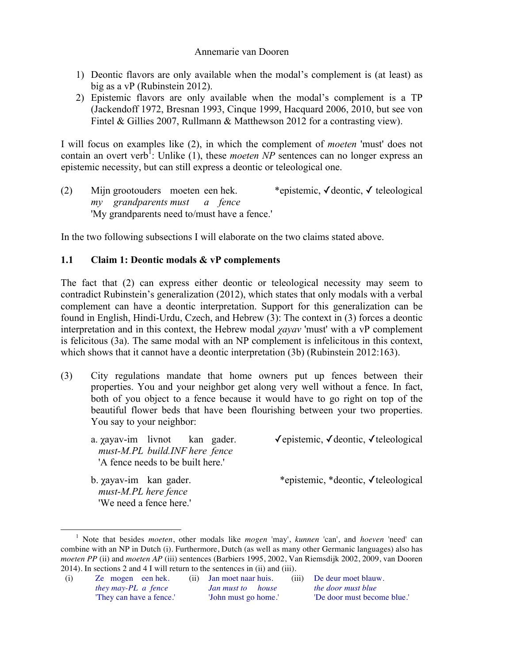- 1) Deontic flavors are only available when the modal's complement is (at least) as big as a vP (Rubinstein 2012).
- 2) Epistemic flavors are only available when the modal's complement is a TP (Jackendoff 1972, Bresnan 1993, Cinque 1999, Hacquard 2006, 2010, but see von Fintel & Gillies 2007, Rullmann & Matthewson 2012 for a contrasting view).

I will focus on examples like (2), in which the complement of *moeten* 'must' does not contain an overt verb<sup>1</sup>: Unlike  $(1)$ , these *moeten NP* sentences can no longer express an epistemic necessity, but can still express a deontic or teleological one.

(2) Mijn grootouders moeten een hek. \*epistemic, ✓deontic, ✓ teleological *my grandparents must a fence* 'My grandparents need to/must have a fence.'

In the two following subsections I will elaborate on the two claims stated above.

# **1.1 Claim 1: Deontic modals & vP complements**

The fact that (2) can express either deontic or teleological necessity may seem to contradict Rubinstein's generalization (2012), which states that only modals with a verbal complement can have a deontic interpretation. Support for this generalization can be found in English, Hindi-Urdu, Czech, and Hebrew (3): The context in (3) forces a deontic interpretation and in this context, the Hebrew modal *χayav* 'must' with a vP complement is felicitous (3a). The same modal with an NP complement is infelicitous in this context, which shows that it cannot have a deontic interpretation (3b) (Rubinstein 2012:163).

- (3) City regulations mandate that home owners put up fences between their properties. You and your neighbor get along very well without a fence. In fact, both of you object to a fence because it would have to go right on top of the beautiful flower beds that have been flourishing between your two properties. You say to your neighbor:
	- *must-M.PL build.INF here fence* 'A fence needs to be built here.'
	- *must-M.PL here fence* 'We need a fence here.'

a. *γaγav*-im livnot kan gader.  $\checkmark$ epistemic, √deontic, √teleological

b. χayav-im kan gader. \*epistemic, \*deontic, ✓teleological

(i) Ze mogen een hek. (ii) Jan moet naar huis. (iii) De deur moet blauw. *they may-PL a fence Jan must to house the door must blue* 'They can have a fence.' 'John must go home.' 'De door must become blue.'

 <sup>1</sup> Note that besides *moeten*, other modals like *mogen* 'may', *kunnen* 'can', and *hoeven* 'need' can combine with an NP in Dutch (i). Furthermore, Dutch (as well as many other Germanic languages) also has *moeten PP* (ii) and *moeten AP* (iii) sentences (Barbiers 1995, 2002, Van Riemsdijk 2002, 2009, van Dooren 2014). In sections 2 and 4 I will return to the sentences in (ii) and (iii).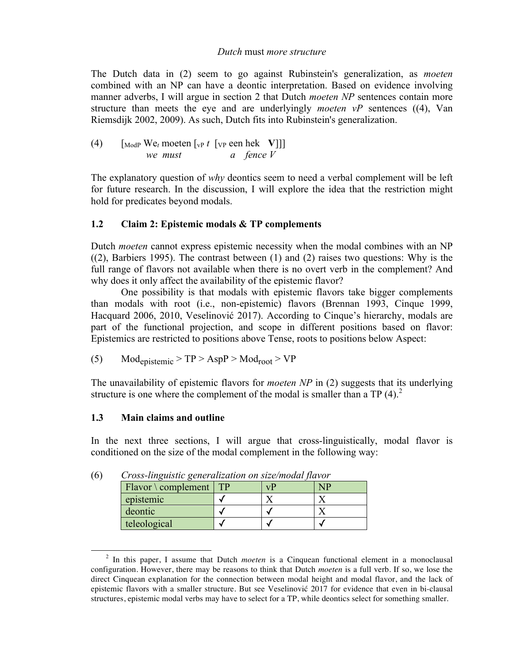#### *Dutch* must *more structure*

The Dutch data in (2) seem to go against Rubinstein's generalization, as *moeten*  combined with an NP can have a deontic interpretation. Based on evidence involving manner adverbs, I will argue in section 2 that Dutch *moeten NP* sentences contain more structure than meets the eye and are underlyingly *moeten vP* sentences ((4), Van Riemsdijk 2002, 2009). As such, Dutch fits into Rubinstein's generalization.

(4) 
$$
\begin{bmatrix} \text{ModP} & \text{We}_t \text{ moeten} \end{bmatrix} \begin{bmatrix} \text{vP} & t \end{bmatrix} \begin{bmatrix} \text{vP} & \text{een hek} & \text{V} \end{bmatrix}
$$

The explanatory question of *why* deontics seem to need a verbal complement will be left for future research. In the discussion, I will explore the idea that the restriction might hold for predicates beyond modals.

# **1.2 Claim 2: Epistemic modals & TP complements**

Dutch *moeten* cannot express epistemic necessity when the modal combines with an NP ((2), Barbiers 1995). The contrast between (1) and (2) raises two questions: Why is the full range of flavors not available when there is no overt verb in the complement? And why does it only affect the availability of the epistemic flavor?

One possibility is that modals with epistemic flavors take bigger complements than modals with root (i.e., non-epistemic) flavors (Brennan 1993, Cinque 1999, Hacquard 2006, 2010, Veselinović 2017). According to Cinque's hierarchy, modals are part of the functional projection, and scope in different positions based on flavor: Epistemics are restricted to positions above Tense, roots to positions below Aspect:

(5) 
$$
Mod_{epistemic} > TP > AspP > Mod_{root} > VP
$$

The unavailability of epistemic flavors for *moeten NP* in (2) suggests that its underlying structure is one where the complement of the modal is smaller than a TP  $(4)$ .<sup>2</sup>

# **1.3 Main claims and outline**

In the next three sections, I will argue that cross-linguistically, modal flavor is conditioned on the size of the modal complement in the following way:

| Cross imgaishe generanization on size modul jiuvor<br>$Flavor \setminus complement$ | TР | vD | <b>NP</b> |  |
|-------------------------------------------------------------------------------------|----|----|-----------|--|
| epistemic                                                                           |    |    |           |  |
| deontic                                                                             |    |    |           |  |
| teleological                                                                        |    |    |           |  |

(6) *Cross-linguistic generalization on size/modal flavor*

 <sup>2</sup> In this paper, I assume that Dutch *moeten* is a Cinquean functional element in a monoclausal configuration. However, there may be reasons to think that Dutch *moeten* is a full verb. If so, we lose the direct Cinquean explanation for the connection between modal height and modal flavor, and the lack of epistemic flavors with a smaller structure. But see Veselinović 2017 for evidence that even in bi-clausal structures, epistemic modal verbs may have to select for a TP, while deontics select for something smaller.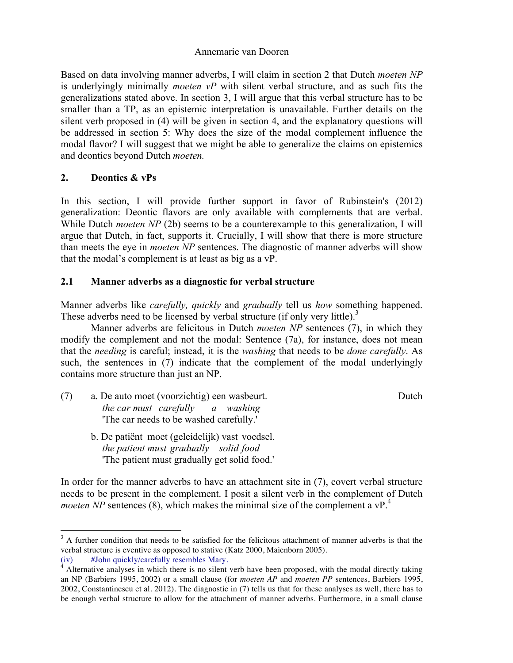Based on data involving manner adverbs, I will claim in section 2 that Dutch *moeten NP* is underlyingly minimally *moeten vP* with silent verbal structure, and as such fits the generalizations stated above. In section 3, I will argue that this verbal structure has to be smaller than a TP, as an epistemic interpretation is unavailable. Further details on the silent verb proposed in (4) will be given in section 4, and the explanatory questions will be addressed in section 5: Why does the size of the modal complement influence the modal flavor? I will suggest that we might be able to generalize the claims on epistemics and deontics beyond Dutch *moeten.*

# **2. Deontics & vPs**

In this section, I will provide further support in favor of Rubinstein's (2012) generalization: Deontic flavors are only available with complements that are verbal. While Dutch *moeten NP* (2b) seems to be a counterexample to this generalization, I will argue that Dutch, in fact, supports it. Crucially, I will show that there is more structure than meets the eye in *moeten NP* sentences. The diagnostic of manner adverbs will show that the modal's complement is at least as big as a vP.

# **2.1 Manner adverbs as a diagnostic for verbal structure**

Manner adverbs like *carefully, quickly* and *gradually* tell us *how* something happened. These adverbs need to be licensed by verbal structure (if only very little).<sup>3</sup>

Manner adverbs are felicitous in Dutch *moeten NP* sentences (7), in which they modify the complement and not the modal: Sentence (7a), for instance, does not mean that the *needing* is careful; instead, it is the *washing* that needs to be *done carefully*. As such, the sentences in (7) indicate that the complement of the modal underlyingly contains more structure than just an NP.

(7) a. De auto moet (voorzichtig) een wasbeurt. Dutch *the car must carefully a washing* 'The car needs to be washed carefully.'

b. De patiënt moet (geleidelijk) vast voedsel. *the patient must gradually solid food* 'The patient must gradually get solid food.'

In order for the manner adverbs to have an attachment site in (7), covert verbal structure needs to be present in the complement. I posit a silent verb in the complement of Dutch *moeten NP* sentences (8), which makes the minimal size of the complement a  $vP<sup>4</sup>$ .

<sup>&</sup>lt;sup>3</sup> A further condition that needs to be satisfied for the felicitous attachment of manner adverbs is that the verbal structure is eventive as opposed to stative (Katz 2000, Maienborn 2005).

<sup>(</sup>iv) #John quickly/carefully resembles Mary.<br> $4$  Alternative analyses in which there is no silent verb have been proposed, with the modal directly taking an NP (Barbiers 1995, 2002) or a small clause (for *moeten AP* and *moeten PP* sentences, Barbiers 1995, 2002, Constantinescu et al. 2012). The diagnostic in (7) tells us that for these analyses as well, there has to be enough verbal structure to allow for the attachment of manner adverbs. Furthermore, in a small clause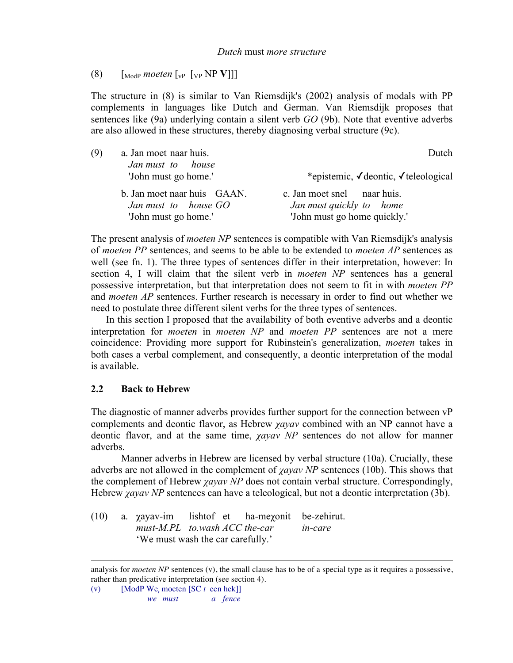(8)  $\left[\begin{array}{cc} \text{ModP} \text{ moeten} \end{array}\right]_{VP} \left[\begin{array}{c} \text{VP} \text{NP} \text{V}\end{array}\right]\right]$ 

The structure in (8) is similar to Van Riemsdijk's (2002) analysis of modals with PP complements in languages like Dutch and German. Van Riemsdijk proposes that sentences like (9a) underlying contain a silent verb *GO* (9b). Note that eventive adverbs are also allowed in these structures, thereby diagnosing verbal structure (9c).

| (9) | a. Jan moet naar huis.<br>Jan must to house                                 | Dutch                                                                                   |
|-----|-----------------------------------------------------------------------------|-----------------------------------------------------------------------------------------|
|     | 'John must go home.'                                                        | *epistemic, √deontic, √teleological                                                     |
|     | b. Jan moet naar huis GAAN.<br>Jan must to house GO<br>'John must go home.' | c. Jan moet snel naar huis.<br>Jan must quickly to home<br>'John must go home quickly.' |

The present analysis of *moeten NP* sentences is compatible with Van Riemsdijk's analysis of *moeten PP* sentences, and seems to be able to be extended to *moeten AP* sentences as well (see fn. 1). The three types of sentences differ in their interpretation, however: In section 4, I will claim that the silent verb in *moeten NP* sentences has a general possessive interpretation, but that interpretation does not seem to fit in with *moeten PP*  and *moeten AP* sentences. Further research is necessary in order to find out whether we need to postulate three different silent verbs for the three types of sentences.

In this section I proposed that the availability of both eventive adverbs and a deontic interpretation for *moeten* in *moeten NP* and *moeten PP* sentences are not a mere coincidence: Providing more support for Rubinstein's generalization, *moeten* takes in both cases a verbal complement, and consequently, a deontic interpretation of the modal is available.

# **2.2 Back to Hebrew**

<u>.</u>

The diagnostic of manner adverbs provides further support for the connection between vP complements and deontic flavor, as Hebrew *χayav* combined with an NP cannot have a deontic flavor, and at the same time, *χayav NP* sentences do not allow for manner adverbs.

Manner adverbs in Hebrew are licensed by verbal structure (10a). Crucially, these adverbs are not allowed in the complement of *χayav NP* sentences (10b). This shows that the complement of Hebrew *χayav NP* does not contain verbal structure. Correspondingly, Hebrew *χayav NP* sentences can have a teleological, but not a deontic interpretation (3b).

(10) a. χayav-im lishtof et ha-meχonit be-zehirut. *must-M.PL to.wash ACC the-car in-care* 'We must wash the car carefully.'

analysis for *moeten NP* sentences (v), the small clause has to be of a special type as it requires a possessive, rather than predicative interpretation (see section 4).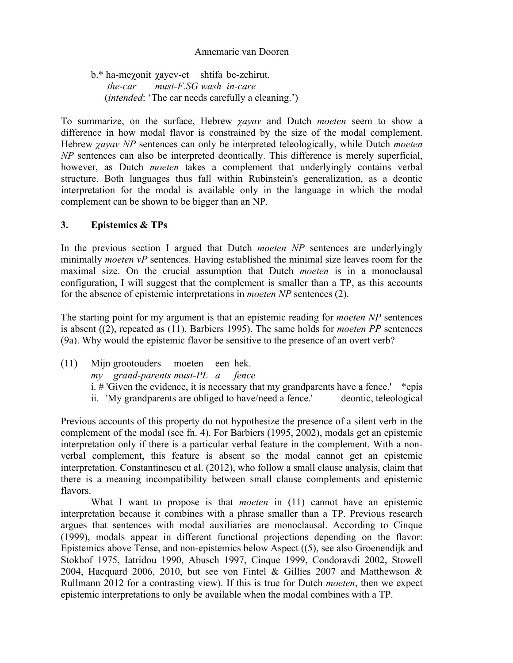b.\* ha-meχonit χayev-et shtifa be-zehirut.  *the-car must-F.SG wash in-care* (*intended*: 'The car needs carefully a cleaning.')

To summarize, on the surface, Hebrew *χayav* and Dutch *moeten* seem to show a difference in how modal flavor is constrained by the size of the modal complement. Hebrew *χayav NP* sentences can only be interpreted teleologically, while Dutch *moeten NP* sentences can also be interpreted deontically. This difference is merely superficial, however, as Dutch *moeten* takes a complement that underlyingly contains verbal structure. Both languages thus fall within Rubinstein's generalization, as a deontic interpretation for the modal is available only in the language in which the modal complement can be shown to be bigger than an NP.

### **3. Epistemics & TPs**

In the previous section I argued that Dutch *moeten NP* sentences are underlyingly minimally *moeten vP* sentences. Having established the minimal size leaves room for the maximal size. On the crucial assumption that Dutch *moeten* is in a monoclausal configuration, I will suggest that the complement is smaller than a TP, as this accounts for the absence of epistemic interpretations in *moeten NP* sentences (2).

The starting point for my argument is that an epistemic reading for *moeten NP* sentences is absent ((2), repeated as (11), Barbiers 1995). The same holds for *moeten PP* sentences (9a). Why would the epistemic flavor be sensitive to the presence of an overt verb?

(11) Mijn grootouders moeten een hek. *my grand-parents must-PL a fence*  i.  $\#$  'Given the evidence, it is necessary that my grandparents have a fence.' \*epis ii. 'My grandparents are obliged to have/need a fence.' deontic, teleological

Previous accounts of this property do not hypothesize the presence of a silent verb in the complement of the modal (see fn. 4). For Barbiers (1995, 2002), modals get an epistemic interpretation only if there is a particular verbal feature in the complement. With a nonverbal complement, this feature is absent so the modal cannot get an epistemic interpretation. Constantinescu et al. (2012), who follow a small clause analysis, claim that there is a meaning incompatibility between small clause complements and epistemic flavors.

What I want to propose is that *moeten* in (11) cannot have an epistemic interpretation because it combines with a phrase smaller than a TP. Previous research argues that sentences with modal auxiliaries are monoclausal. According to Cinque (1999), modals appear in different functional projections depending on the flavor: Epistemics above Tense, and non-epistemics below Aspect ((5), see also Groenendijk and Stokhof 1975, Iatridou 1990, Abusch 1997, Cinque 1999, Condoravdi 2002, Stowell 2004, Hacquard 2006, 2010, but see von Fintel & Gillies 2007 and Matthewson & Rullmann 2012 for a contrasting view). If this is true for Dutch *moeten*, then we expect epistemic interpretations to only be available when the modal combines with a TP.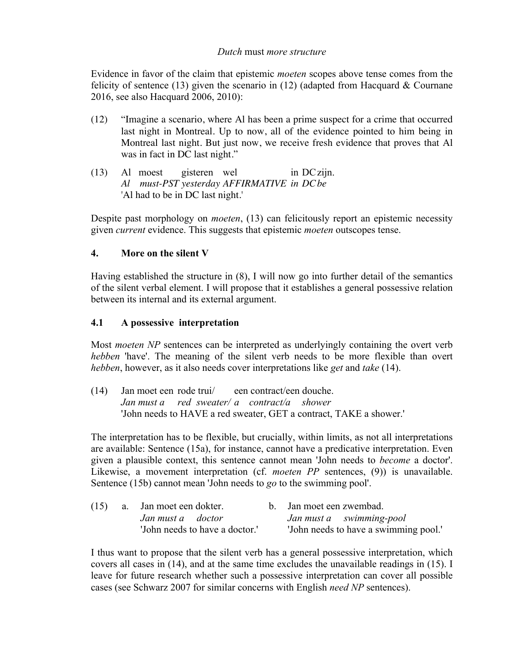### *Dutch* must *more structure*

Evidence in favor of the claim that epistemic *moeten* scopes above tense comes from the felicity of sentence (13) given the scenario in (12) (adapted from Hacquard  $&$  Cournane 2016, see also Hacquard 2006, 2010):

- (12) "Imagine a scenario, where Al has been a prime suspect for a crime that occurred last night in Montreal. Up to now, all of the evidence pointed to him being in Montreal last night. But just now, we receive fresh evidence that proves that Al was in fact in DC last night."
- (13) Al moest gisteren wel in DCzijn. *Al must-PST yesterday AFFIRMATIVE in DCbe* 'Al had to be in DC last night.'

Despite past morphology on *moeten*, (13) can felicitously report an epistemic necessity given *current* evidence. This suggests that epistemic *moeten* outscopes tense.

# **4. More on the silent V**

Having established the structure in (8), I will now go into further detail of the semantics of the silent verbal element. I will propose that it establishes a general possessive relation between its internal and its external argument.

# **4.1 A possessive interpretation**

Most *moeten NP* sentences can be interpreted as underlyingly containing the overt verb *hebben* 'have'. The meaning of the silent verb needs to be more flexible than overt *hebben*, however, as it also needs cover interpretations like *get* and *take* (14).

(14) Jan moet een rode trui/ een contract/een douche. *Jan must a red sweater/ a contract/a shower* 'John needs to HAVE a red sweater, GET a contract, TAKE a shower.'

The interpretation has to be flexible, but crucially, within limits, as not all interpretations are available: Sentence (15a), for instance, cannot have a predicative interpretation. Even given a plausible context, this sentence cannot mean 'John needs to *become* a doctor'. Likewise, a movement interpretation (cf. *moeten PP* sentences, (9)) is unavailable. Sentence (15b) cannot mean 'John needs to *go* to the swimming pool'.

|                                | $(15)$ a. Jan moet een dokter. |  | b. Jan moet een zwembad.              |  |  |
|--------------------------------|--------------------------------|--|---------------------------------------|--|--|
|                                | Jan must a doctor              |  | Jan must a swimming-pool              |  |  |
| 'John needs to have a doctor.' |                                |  | 'John needs to have a swimming pool.' |  |  |

I thus want to propose that the silent verb has a general possessive interpretation, which covers all cases in (14), and at the same time excludes the unavailable readings in (15). I leave for future research whether such a possessive interpretation can cover all possible cases (see Schwarz 2007 for similar concerns with English *need NP* sentences).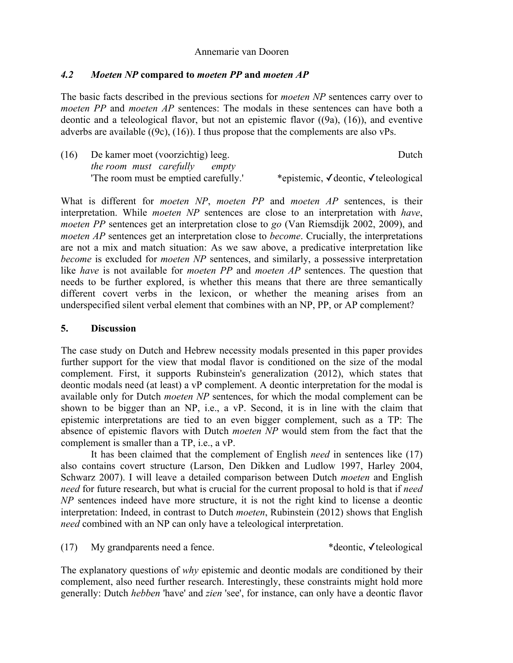### *4.2 Moeten NP* **compared to** *moeten PP* **and** *moeten AP*

The basic facts described in the previous sections for *moeten NP* sentences carry over to *moeten PP* and *moeten AP* sentences: The modals in these sentences can have both a deontic and a teleological flavor, but not an epistemic flavor ((9a), (16)), and eventive adverbs are available ((9c), (16)). I thus propose that the complements are also vPs.

| (16) | De kamer moet (voorzichtig) leeg.    | Dutch                               |
|------|--------------------------------------|-------------------------------------|
|      | <i>the room must carefully empty</i> |                                     |
|      | The room must be emptied carefully.  | *epistemic, √deontic, √teleological |

What is different for *moeten NP*, *moeten PP* and *moeten AP* sentences, is their interpretation. While *moeten NP* sentences are close to an interpretation with *have*, *moeten PP* sentences get an interpretation close to *go* (Van Riemsdijk 2002, 2009), and *moeten AP* sentences get an interpretation close to *become*. Crucially, the interpretations are not a mix and match situation: As we saw above, a predicative interpretation like *become* is excluded for *moeten NP* sentences, and similarly, a possessive interpretation like *have* is not available for *moeten PP* and *moeten AP* sentences. The question that needs to be further explored, is whether this means that there are three semantically different covert verbs in the lexicon, or whether the meaning arises from an underspecified silent verbal element that combines with an NP, PP, or AP complement?

#### **5. Discussion**

The case study on Dutch and Hebrew necessity modals presented in this paper provides further support for the view that modal flavor is conditioned on the size of the modal complement. First, it supports Rubinstein's generalization (2012), which states that deontic modals need (at least) a vP complement. A deontic interpretation for the modal is available only for Dutch *moeten NP* sentences, for which the modal complement can be shown to be bigger than an NP, i.e., a vP. Second, it is in line with the claim that epistemic interpretations are tied to an even bigger complement, such as a TP: The absence of epistemic flavors with Dutch *moeten NP* would stem from the fact that the complement is smaller than a TP, i.e., a vP.

It has been claimed that the complement of English *need* in sentences like (17) also contains covert structure (Larson, Den Dikken and Ludlow 1997, Harley 2004, Schwarz 2007). I will leave a detailed comparison between Dutch *moeten* and English *need* for future research, but what is crucial for the current proposal to hold is that if *need NP* sentences indeed have more structure, it is not the right kind to license a deontic interpretation: Indeed, in contrast to Dutch *moeten*, Rubinstein (2012) shows that English *need* combined with an NP can only have a teleological interpretation.

(17) My grandparents need a fence.  $*$ deontic,  $\checkmark$  teleological

The explanatory questions of *why* epistemic and deontic modals are conditioned by their complement, also need further research. Interestingly, these constraints might hold more generally: Dutch *hebben* 'have' and *zien* 'see', for instance, can only have a deontic flavor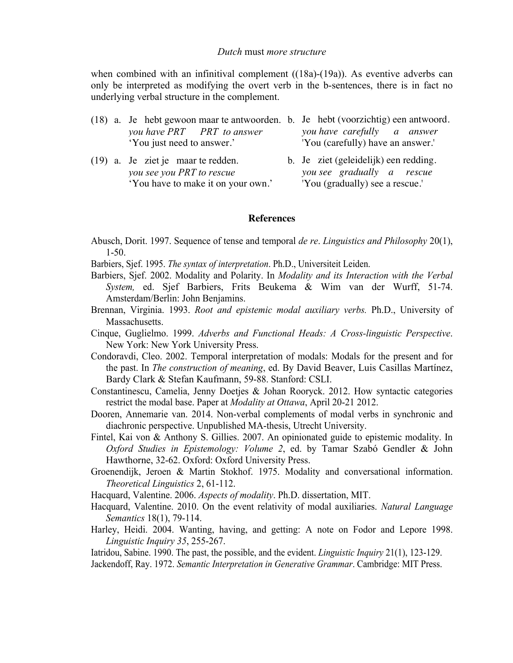when combined with an infinitival complement ((18a)-(19a)). As eventive adverbs can only be interpreted as modifying the overt verb in the b-sentences, there is in fact no underlying verbal structure in the complement.

|                            |  |  | (18) a. Je hebt gewoon maar te antwoorden. b. Je hebt (voorzichtig) een antwoord. |                                   |                             |  |  |
|----------------------------|--|--|-----------------------------------------------------------------------------------|-----------------------------------|-----------------------------|--|--|
|                            |  |  | you have PRT PRT to answer                                                        |                                   | you have carefully a answer |  |  |
| 'You just need to answer.' |  |  |                                                                                   | 'You (carefully) have an answer.' |                             |  |  |

(19) a. Je ziet je maar te redden. b. Je ziet (geleidelijk) een redding. *you see you PRT to rescue you see gradually a rescue* 'You have to make it on your own.' 'You (gradually) see a rescue.'

#### **References**

- Abusch, Dorit. 1997. Sequence of tense and temporal *de re*. *Linguistics and Philosophy* 20(1), 1-50.
- Barbiers, Sjef. 1995. *The syntax of interpretation*. Ph.D., Universiteit Leiden.
- Barbiers, Sjef. 2002. Modality and Polarity. In *Modality and its Interaction with the Verbal System,* ed. Sjef Barbiers, Frits Beukema & Wim van der Wurff, 51-74. Amsterdam/Berlin: John Benjamins.
- Brennan, Virginia. 1993. *Root and epistemic modal auxiliary verbs.* Ph.D., University of Massachusetts.
- Cinque, Guglielmo. 1999. *Adverbs and Functional Heads: A Cross-linguistic Perspective*. New York: New York University Press.
- Condoravdi, Cleo. 2002. Temporal interpretation of modals: Modals for the present and for the past. In *The construction of meaning*, ed. By David Beaver, Luis Casillas Martínez, Bardy Clark & Stefan Kaufmann, 59-88. Stanford: CSLI.
- Constantinescu, Camelia, Jenny Doetjes & Johan Rooryck. 2012. How syntactic categories restrict the modal base. Paper at *Modality at Ottawa*, April 20-21 2012.
- Dooren, Annemarie van. 2014. Non-verbal complements of modal verbs in synchronic and diachronic perspective. Unpublished MA-thesis, Utrecht University.
- Fintel, Kai von & Anthony S. Gillies. 2007. An opinionated guide to epistemic modality. In *Oxford Studies in Epistemology: Volume 2*, ed. by Tamar Szabó Gendler & John Hawthorne, 32-62. Oxford: Oxford University Press.
- Groenendijk, Jeroen & Martin Stokhof. 1975. Modality and conversational information. *Theoretical Linguistics* 2, 61-112.
- Hacquard, Valentine. 2006. *Aspects of modality*. Ph.D. dissertation, MIT.
- Hacquard, Valentine. 2010. On the event relativity of modal auxiliaries. *Natural Language Semantics* 18(1), 79-114.
- Harley, Heidi. 2004. Wanting, having, and getting: A note on Fodor and Lepore 1998. *Linguistic Inquiry 35*, 255-267.

Iatridou, Sabine. 1990. The past, the possible, and the evident. *Linguistic Inquiry* 21(1), 123-129. Jackendoff, Ray. 1972. *Semantic Interpretation in Generative Grammar*. Cambridge: MIT Press.